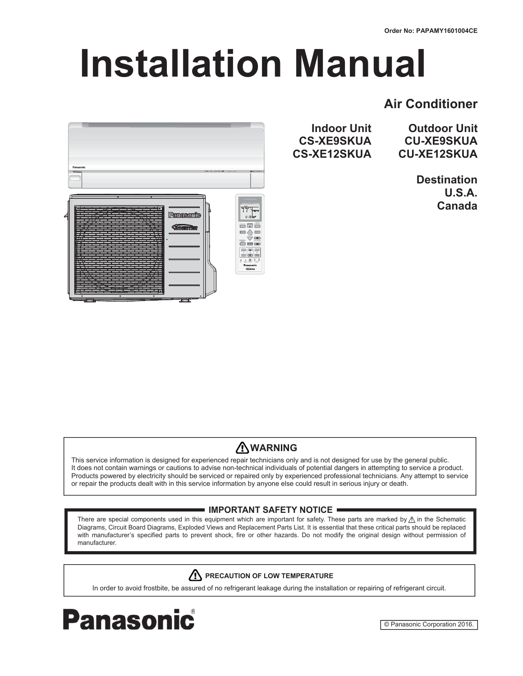# **Installation Manual**

# **Air Conditioner**



**CS-XE9SKUA CS-XE12SKUA** 

**Indoor Unit Outdoor Unit CU-XE9SKUA CU-XE12SKUA**

> **Destination U.S.A. Canada**

# **WARNING**

This service information is designed for experienced repair technicians only and is not designed for use by the general public. It does not contain warnings or cautions to advise non-technical individuals of potential dangers in attempting to service a product. Products powered by electricity should be serviced or repaired only by experienced professional technicians. Any attempt to service or repair the products dealt with in this service information by anyone else could result in serious injury or death.

## **IMPORTANT SAFETY NOTICE .**

There are special components used in this equipment which are important for safety. These parts are marked by  $\triangle$  in the Schematic Diagrams, Circuit Board Diagrams, Exploded Views and Replacement Parts List. It is essential that these critical parts should be replaced with manufacturer's specified parts to prevent shock, fire or other hazards. Do not modify the original design without permission of manufacturer.

# **PRECAUTION OF LOW TEMPERATURE**

In order to avoid frostbite, be assured of no refrigerant leakage during the installation or repairing of refrigerant circuit.



© Panasonic Corporation 2016.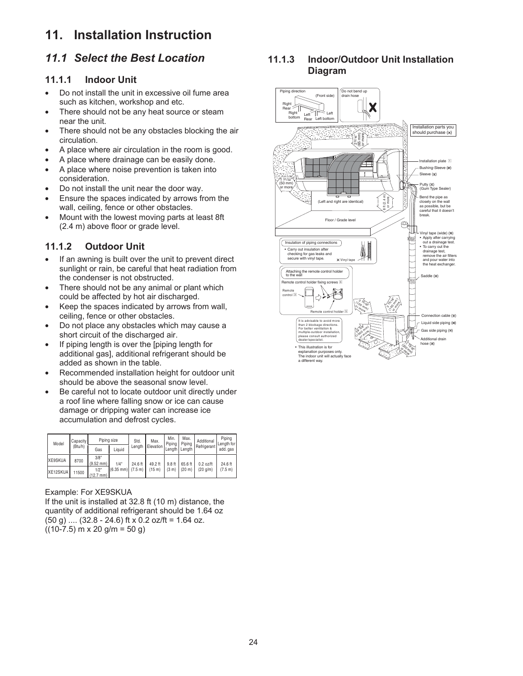# **11. Installation Instruction**

# *11.1 Select the Best Location*

#### **11.1.1 Indoor Unit**

- Do not install the unit in excessive oil fume area such as kitchen, workshop and etc.
- There should not be any heat source or steam near the unit.
- There should not be any obstacles blocking the air circulation.
- A place where air circulation in the room is good.
- A place where drainage can be easily done.
- A place where noise prevention is taken into consideration.
- Do not install the unit near the door way.
- **Ensure the spaces indicated by arrows from the** wall, ceiling, fence or other obstacles.
- Mount with the lowest moving parts at least 8ft (2.4 m) above floor or grade level.

# **11.1.2 Outdoor Unit**

- If an awning is built over the unit to prevent direct sunlight or rain, be careful that heat radiation from the condenser is not obstructed.
- There should not be any animal or plant which could be affected by hot air discharged.
- Keep the spaces indicated by arrows from wall, ceiling, fence or other obstacles.
- Do not place any obstacles which may cause a short circuit of the discharged air.
- If piping length is over the [piping length for additional gas], additional refrigerant should be added as shown in the table.
- Recommended installation height for outdoor unit should be above the seasonal snow level.
- Be careful not to locate outdoor unit directly under a roof line where falling snow or ice can cause damage or dripping water can increase ice accumulation and defrost cycles.

| Model    | Capacity<br>(Btu/h) | Piping size                 |                    | Std.    | Max.               | Min.<br>Piping    | Max.<br>Piping     | Additional  | Pipina<br>Length for |
|----------|---------------------|-----------------------------|--------------------|---------|--------------------|-------------------|--------------------|-------------|----------------------|
|          |                     | Gas                         | Liquid             | Lenath  | Elevation          |                   | Length Length      | Refrigerant | add, gas             |
| XE9SKUA  | 8700                | 3/8"<br>$(9.52$ mm)         | 1/4"               | 24.6 ft | 49.2 ft            | 9.8 ft            | 65.6 ft            | $0.2$ oz/ft | 24.6 ft              |
| XE12SKUA | 11500               | 1/2"<br>$(12.7 \text{ mm})$ | (6.35 mm)  (7.5 m) |         | (15 <sub>m</sub> ) | (3 <sub>m</sub> ) | (20 <sub>m</sub> ) | (20 q/m)    | (7.5 m)              |

#### Example: For XE9SKUA

If the unit is installed at 32.8 ft (10 m) distance, the quantity of additional refrigerant should be 1.64 oz  $(50 g)$  ....  $(32.8 - 24.6)$  ft x 0.2 oz/ft = 1.64 oz.  $((10-7.5)$  m x 20 g/m = 50 g)

#### **11.1.3 Indoor/Outdoor Unit Installation Diagram**

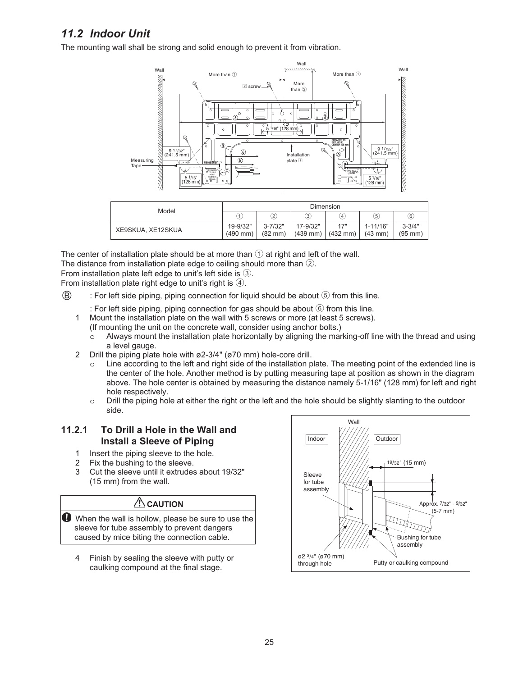# *11.2 Indoor Unit*

The mounting wall shall be strong and solid enough to prevent it from vibration.



The center of installation plate should be at more than  $\bigcirc$  at right and left of the wall.

The distance from installation plate edge to ceiling should more than  $(2)$ .

From installation plate left edge to unit's left side is  $(3)$ .

From installation plate right edge to unit's right is  $(4)$ .

 $(B)$  : For left side piping, piping connection for liquid should be about  $(5)$  from this line.

: For left side piping, piping connection for gas should be about  $\circled{6}$  from this line.

- 1 Mount the installation plate on the wall with 5 screws or more (at least 5 screws). (If mounting the unit on the concrete wall, consider using anchor bolts.)
	- o Always mount the installation plate horizontally by aligning the marking-off line with the thread and using a level gauge.
- 2 Drill the piping plate hole with ø2-3/4" (ø70 mm) hole-core drill.
	- Line according to the left and right side of the installation plate. The meeting point of the extended line is the center of the hole. Another method is by putting measuring tape at position as shown in the diagram above. The hole center is obtained by measuring the distance namely 5-1/16" (128 mm) for left and right hole respectively.
	- o Drill the piping hole at either the right or the left and the hole should be slightly slanting to the outdoor side.

#### **11.2.1 To Drill a Hole in the Wall and Install a Sleeve of Piping**

- 1 Insert the piping sleeve to the hole.
- 2 Fix the bushing to the sleeve.
- 3 Cut the sleeve until it extrudes about 19/32" (15 mm) from the wall.

# **A** CAUTION

When the wall is hollow, please be sure to use the sleeve for tube assembly to prevent dangers caused by mice biting the connection cable.

4 Finish by sealing the sleeve with putty or caulking compound at the final stage.

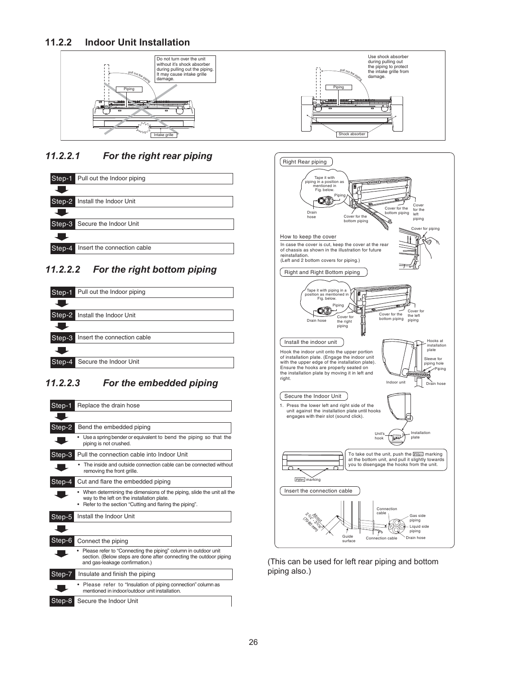#### **11.2.2 Indoor Unit Installation**



# *11.2.2.1 For the right rear piping*



# *11.2.2.2 For the right bottom piping*



# *11.2.2.3 For the embedded piping*

| Step-1   | Replace the drain hose                                                                                                                                                          |  |  |
|----------|---------------------------------------------------------------------------------------------------------------------------------------------------------------------------------|--|--|
|          |                                                                                                                                                                                 |  |  |
| Step-2   | Bend the embedded piping                                                                                                                                                        |  |  |
|          | Use a spring bender or equivalent to bend the piping so that the<br>piping is not crushed.                                                                                      |  |  |
| Step-3   | Pull the connection cable into Indoor Unit                                                                                                                                      |  |  |
|          | The inside and outside connection cable can be connected without<br>removing the front grille.                                                                                  |  |  |
| $Step-4$ | Cut and flare the embedded piping                                                                                                                                               |  |  |
|          | • When determining the dimensions of the piping, slide the unit all the<br>way to the left on the installation plate.<br>Refer to the section "Cutting and flaring the piping". |  |  |
| Step-5   | Install the Indoor Unit                                                                                                                                                         |  |  |
|          |                                                                                                                                                                                 |  |  |
| Step-6   | Connect the piping                                                                                                                                                              |  |  |
|          | Please refer to "Connecting the piping" column in outdoor unit<br>section. (Below steps are done after connecting the outdoor piping<br>and gas-leakage confirmation.)          |  |  |
| Step-7   | Insulate and finish the piping                                                                                                                                                  |  |  |
|          | • Please refer to "Insulation of piping connection" column as<br>mentioned in indoor/outdoor unit installation.                                                                 |  |  |
| Step-8   | Secure the Indoor Unit                                                                                                                                                          |  |  |





(This can be used for left rear piping and bottom piping also.)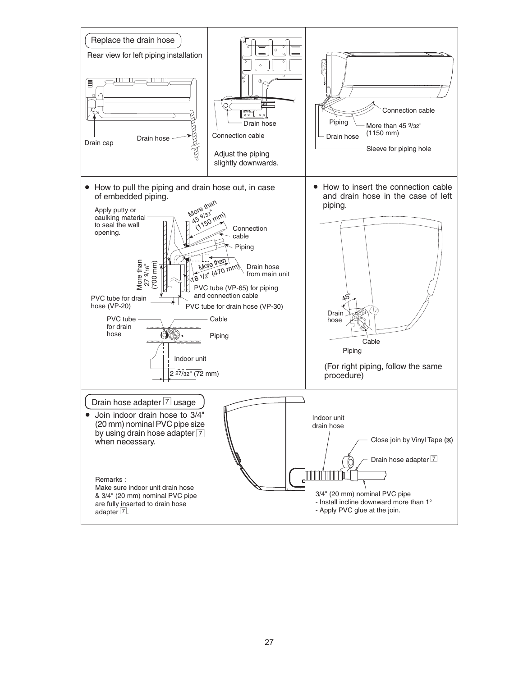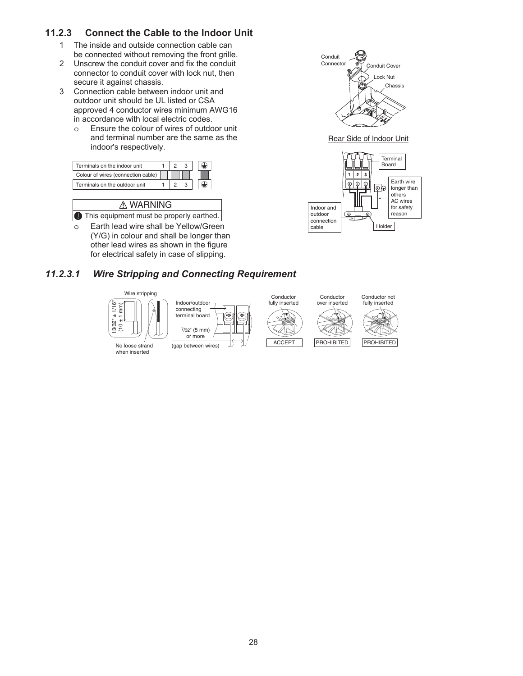# **11.2.3 Connect the Cable to the Indoor Unit**

- 1 The inside and outside connection cable can be connected without removing the front grille.
- 2 Unscrew the conduit cover and fix the conduit connector to conduit cover with lock nut, then secure it against chassis.
- 3 Connection cable between indoor unit and outdoor unit should be UL listed or CSA approved 4 conductor wires minimum AWG16 in accordance with local electric codes.
	- o Ensure the colour of wires of outdoor unit and terminal number are the same as the indoor's respectively.



| <b>△ WARNING</b>                                  |
|---------------------------------------------------|
| <b>I</b> This equipment must be properly earthed. |

o Earth lead wire shall be Yellow/Green (Y/G) in colour and shall be longer than other lead wires as shown in the figure for electrical safety in case of slipping.



Rear Side of Indoor Unit



# *11.2.3.1 Wire Stripping and Connecting Requirement*

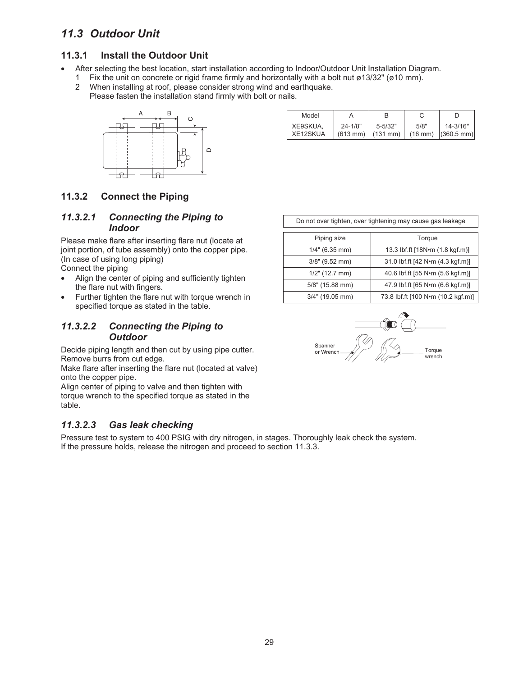# *11.3 Outdoor Unit*

## **11.3.1 Install the Outdoor Unit**

- After selecting the best location, start installation according to Indoor/Outdoor Unit Installation Diagram.
	- 1 Fix the unit on concrete or rigid frame firmly and horizontally with a bolt nut ø13/32" (ø10 mm). 2 When installing at roof, please consider strong wind and earthquake.
		- Please fasten the installation stand firmly with bolt or nails.



| Model    |                    |             |      |                                        |
|----------|--------------------|-------------|------|----------------------------------------|
| XE9SKUA. | $24 - 1/8"$        | $5 - 5/32"$ | 5/8" | 14-3/16"                               |
| XE12SKUA | $(613 \text{ mm})$ | (131 mm)    |      | $(16 \text{ mm})$ $(360.5 \text{ mm})$ |

## **11.3.2 Connect the Piping**

#### *11.3.2.1 Connecting the Piping to Indoor*

Please make flare after inserting flare nut (locate at joint portion, of tube assembly) onto the copper pipe. (In case of using long piping) Connect the piping

- Align the center of piping and sufficiently tighten the flare nut with fingers.
- Further tighten the flare nut with torque wrench in specified torque as stated in the table.

## *11.3.2.2 Connecting the Piping to Outdoor*

Decide piping length and then cut by using pipe cutter. Remove burrs from cut edge.

Make flare after inserting the flare nut (located at valve) onto the copper pipe.

Align center of piping to valve and then tighten with torque wrench to the specified torque as stated in the table.

## *11.3.2.3 Gas leak checking*

Pressure test to system to 400 PSIG with dry nitrogen, in stages. Thoroughly leak check the system. If the pressure holds, release the nitrogen and proceed to section 11.3.3.

Do not over tighten, over tightening may cause gas leakage

| Piping size        | Torque                             |
|--------------------|------------------------------------|
| $1/4"$ (6.35 mm)   | 13.3 lbf.ft [18N•m (1.8 kgf.m)]    |
| $3/8"$ (9.52 mm)   | 31.0 lbf.ft [42 N•m (4.3 kgf.m)]   |
| $1/2$ " (12.7 mm)  | 40.6 lbf.ft [55 N•m (5.6 kgf.m)]   |
| $5/8$ " (15.88 mm) | 47.9 lbf.ft [65 N•m (6.6 kgf.m)]   |
| $3/4"$ (19.05 mm)  | 73.8 lbf.ft [100 N•m (10.2 kgf.m)] |

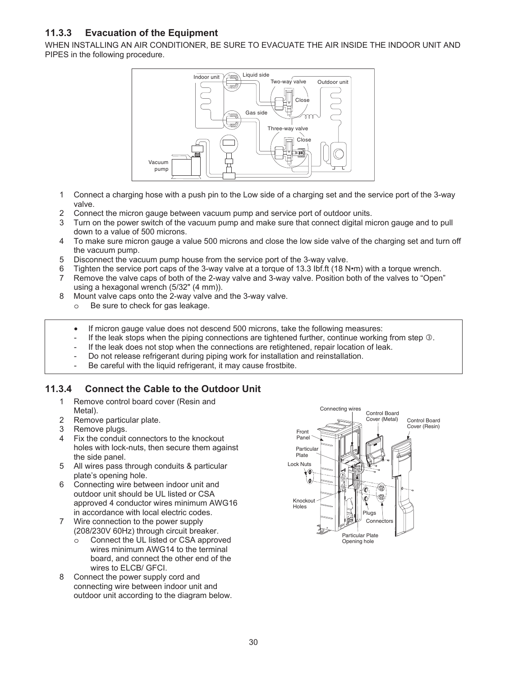# **11.3.3 Evacuation of the Equipment**

WHEN INSTALLING AN AIR CONDITIONER, BE SURE TO EVACUATE THE AIR INSIDE THE INDOOR UNIT AND PIPES in the following procedure.



- 1 Connect a charging hose with a push pin to the Low side of a charging set and the service port of the 3-way valve.
- 2 Connect the micron gauge between vacuum pump and service port of outdoor units.
- 3 Turn on the power switch of the vacuum pump and make sure that connect digital micron gauge and to pull down to a value of 500 microns.
- 4 To make sure micron gauge a value 500 microns and close the low side valve of the charging set and turn off the vacuum pump.
- 5 Disconnect the vacuum pump house from the service port of the 3-way valve.
- 6 Tighten the service port caps of the 3-way valve at a torque of 13.3 Ibf.ft (18 N•m) with a torque wrench.
- 7 Remove the valve caps of both of the 2-way valve and 3-way valve. Position both of the valves to "Open" using a hexagonal wrench (5/32" (4 mm)).
- 8 Mount valve caps onto the 2-way valve and the 3-way valve.
	- o Be sure to check for gas leakage.
	- If micron gauge value does not descend 500 microns, take the following measures:
	- If the leak stops when the piping connections are tightened further, continue working from step  $\circledast$ .
	- If the leak does not stop when the connections are retightened, repair location of leak.
	- Do not release refrigerant during piping work for installation and reinstallation.
	- Be careful with the liquid refrigerant, it may cause frostbite.

#### **11.3.4 Connect the Cable to the Outdoor Unit**

- 1 Remove control board cover (Resin and Metal).
- 2 Remove particular plate.
- 3 Remove plugs.
- Fix the conduit connectors to the knockout holes with lock-nuts, then secure them against the side panel.
- 5 All wires pass through conduits & particular plate's opening hole.
- 6 Connecting wire between indoor unit and outdoor unit should be UL listed or CSA approved 4 conductor wires minimum AWG16 in accordance with local electric codes.
- 7 Wire connection to the power supply (208/230V 60Hz) through circuit breaker.
	- Connect the UL listed or CSA approved wires minimum AWG14 to the terminal board, and connect the other end of the wires to ELCB/ GFCI.
- 8 Connect the power supply cord and connecting wire between indoor unit and outdoor unit according to the diagram below.

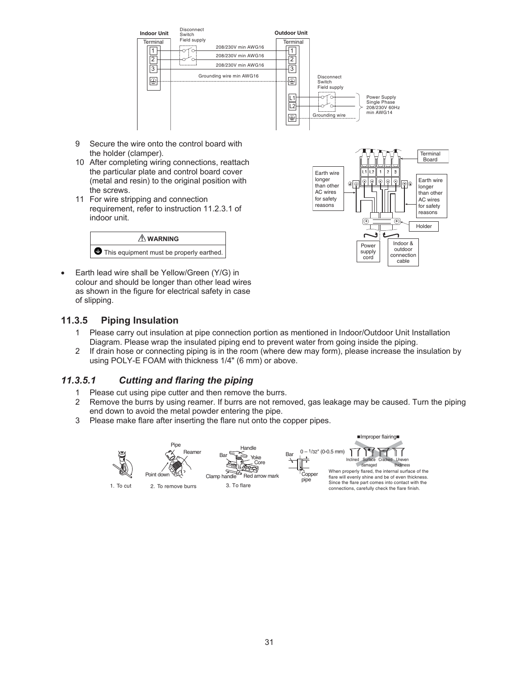

- 9 Secure the wire onto the control board with the holder (clamper).
- 10 After completing wiring connections, reattach the particular plate and control board cover (metal and resin) to the original position with the screws.
- 11 For wire stripping and connection requirement, refer to instruction 11.2.3.1 of indoor unit.



 Earth lead wire shall be Yellow/Green (Y/G) in colour and should be longer than other lead wires as shown in the figure for electrical safety in case of slipping.

#### **11.3.5 Piping Insulation**

- 1 Please carry out insulation at pipe connection portion as mentioned in Indoor/Outdoor Unit Installation
- Diagram. Please wrap the insulated piping end to prevent water from going inside the piping. 2 If drain hose or connecting piping is in the room (where dew may form), please increase the insulation by using POLY-E FOAM with thickness 1/4" (6 mm) or above.

## *11.3.5.1 Cutting and flaring the piping*

- 1 Please cut using pipe cutter and then remove the burrs.
- 2 Remove the burrs by using reamer. If burrs are not removed, gas leakage may be caused. Turn the piping end down to avoid the metal powder entering the pipe.
- 3 Please make flare after inserting the flare nut onto the copper pipes.